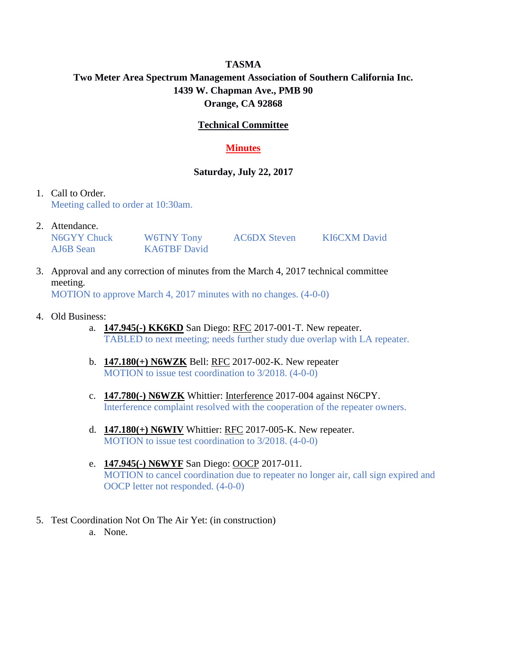# **TASMA Two Meter Area Spectrum Management Association of Southern California Inc. 1439 W. Chapman Ave., PMB 90 Orange, CA 92868**

## **Technical Committee**

## **Minutes**

### **Saturday, July 22, 2017**

#### 1. Call to Order. Meeting called to order at 10:30am.

2. Attendance.

N6GYY Chuck W6TNY Tony AC6DX Steven KI6CXM David AJ6B Sean KA6TBF David

- 3. Approval and any correction of minutes from the March 4, 2017 technical committee meeting. MOTION to approve March 4, 2017 minutes with no changes. (4-0-0)
- 4. Old Business:
	- a. **147.945(-) KK6KD** San Diego: RFC 2017-001-T. New repeater. TABLED to next meeting; needs further study due overlap with LA repeater.
	- b. **147.180(+) N6WZK** Bell: RFC 2017-002-K. New repeater MOTION to issue test coordination to 3/2018. (4-0-0)
	- c. **147.780(-) N6WZK** Whittier: Interference 2017-004 against N6CPY. Interference complaint resolved with the cooperation of the repeater owners.
	- d. **147.180(+) N6WIV** Whittier: RFC 2017-005-K. New repeater. MOTION to issue test coordination to 3/2018. (4-0-0)
	- e. **147.945(-) N6WYF** San Diego: OOCP 2017-011. MOTION to cancel coordination due to repeater no longer air, call sign expired and OOCP letter not responded. (4-0-0)
- 5. Test Coordination Not On The Air Yet: (in construction)
	- a. None.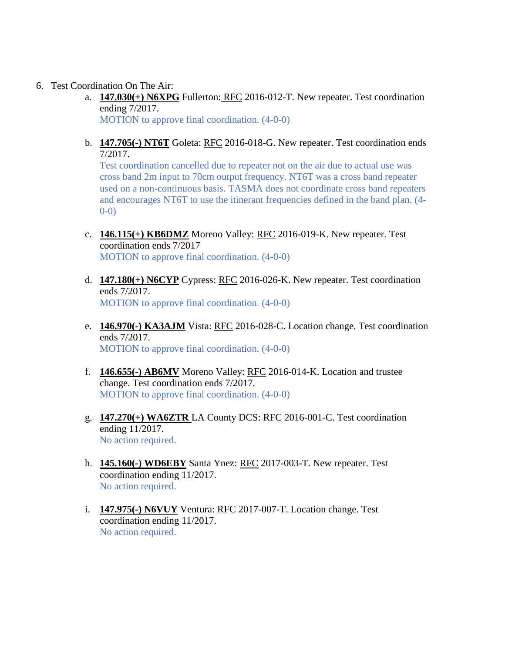- 6. Test Coordination On The Air:
	- a. **147.030(+) N6XPG** Fullerton: RFC 2016-012-T. New repeater. Test coordination ending 7/2017. MOTION to approve final coordination. (4-0-0)
	- b. **147.705(-) NT6T** Goleta: RFC 2016-018-G. New repeater. Test coordination ends 7/2017.

Test coordination cancelled due to repeater not on the air due to actual use was cross band 2m input to 70cm output frequency. NT6T was a cross band repeater used on a non-continuous basis. TASMA does not coordinate cross band repeaters and encourages NT6T to use the itinerant frequencies defined in the band plan. (4- 0-0)

- c. **146.115(+) KB6DMZ** Moreno Valley: RFC 2016-019-K. New repeater. Test coordination ends 7/2017 MOTION to approve final coordination. (4-0-0)
- d. **147.180(+) N6CYP** Cypress: RFC 2016-026-K. New repeater. Test coordination ends 7/2017. MOTION to approve final coordination. (4-0-0)
- e. **146.970(-) KA3AJM** Vista: RFC 2016-028-C. Location change. Test coordination ends 7/2017. MOTION to approve final coordination. (4-0-0)
- f. **146.655(-) AB6MV** Moreno Valley: RFC 2016-014-K. Location and trustee change. Test coordination ends 7/2017. MOTION to approve final coordination. (4-0-0)
- g. **147.270(+) WA6ZTR** LA County DCS: RFC 2016-001-C. Test coordination ending 11/2017. No action required.
- h. **145.160(-) WD6EBY** Santa Ynez: RFC 2017-003-T. New repeater. Test coordination ending 11/2017. No action required.
- i. **147.975(-) N6VUY** Ventura: RFC 2017-007-T. Location change. Test coordination ending 11/2017. No action required.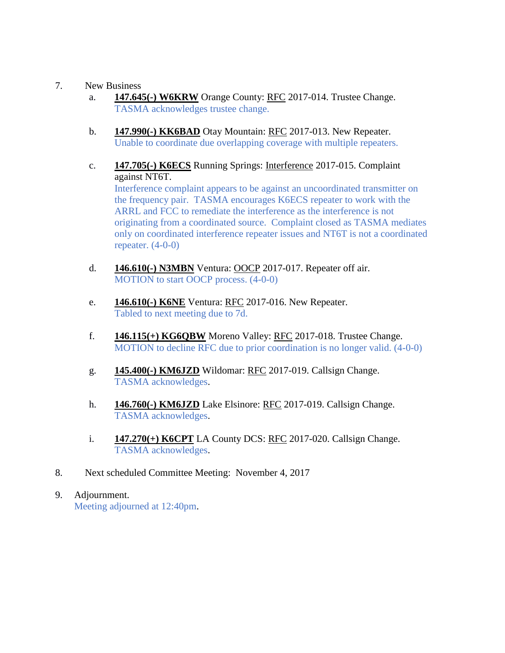## 7. New Business

- a. **147.645(-) W6KRW** Orange County: RFC 2017-014. Trustee Change. TASMA acknowledges trustee change.
- b. **147.990(-) KK6BAD** Otay Mountain: RFC 2017-013. New Repeater. Unable to coordinate due overlapping coverage with multiple repeaters.
- c. **147.705(-) K6ECS** Running Springs: Interference 2017-015. Complaint against NT6T. Interference complaint appears to be against an uncoordinated transmitter on the frequency pair. TASMA encourages K6ECS repeater to work with the ARRL and FCC to remediate the interference as the interference is not originating from a coordinated source. Complaint closed as TASMA mediates only on coordinated interference repeater issues and NT6T is not a coordinated repeater.  $(4-0-0)$
- d. **146.610(-) N3MBN** Ventura: OOCP 2017-017. Repeater off air. MOTION to start OOCP process. (4-0-0)
- e. **146.610(-) K6NE** Ventura: RFC 2017-016. New Repeater. Tabled to next meeting due to 7d.
- f. **146.115(+) KG6QBW** Moreno Valley: RFC 2017-018. Trustee Change. MOTION to decline RFC due to prior coordination is no longer valid. (4-0-0)
- g. **145.400(-) KM6JZD** Wildomar: RFC 2017-019. Callsign Change. TASMA acknowledges.
- h. **146.760(-) KM6JZD** Lake Elsinore: RFC 2017-019. Callsign Change. TASMA acknowledges.
- i. **147.270(+) K6CPT** LA County DCS: RFC 2017-020. Callsign Change. TASMA acknowledges.
- 8. Next scheduled Committee Meeting: November 4, 2017
- 9. Adjournment. Meeting adjourned at 12:40pm.